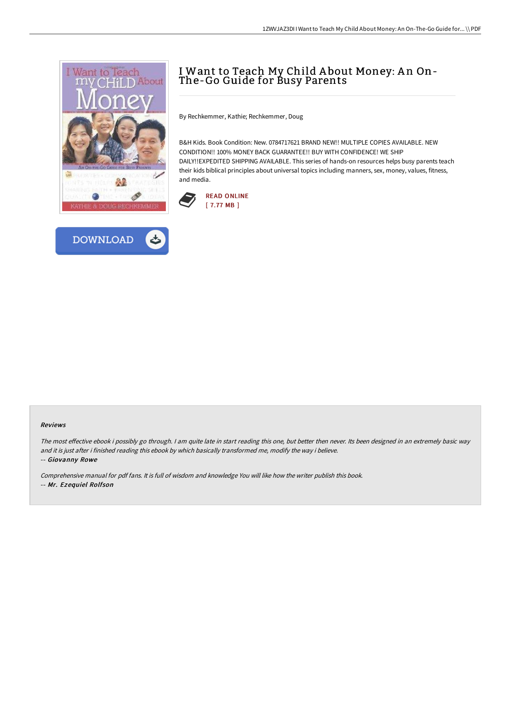



# I Want to Teach My Child A bout Money: A n On-The-Go Guide for Busy Parents

By Rechkemmer, Kathie; Rechkemmer, Doug

B&H Kids. Book Condition: New. 0784717621 BRAND NEW!! MULTIPLE COPIES AVAILABLE. NEW CONDITION!! 100% MONEY BACK GUARANTEE!! BUY WITH CONFIDENCE! WE SHIP DAILY!!EXPEDITED SHIPPING AVAILABLE. This series of hands-on resources helps busy parents teach their kids biblical principles about universal topics including manners, sex, money, values, fitness, and media.



#### Reviews

The most effective ebook i possibly go through. I am quite late in start reading this one, but better then never. Its been designed in an extremely basic way and it is just after i finished reading this ebook by which basically transformed me, modify the way i believe.

-- Giovanny Rowe

Comprehensive manual for pdf fans. It is full of wisdom and knowledge You will like how the writer publish this book. -- Mr. Ezequiel Rolfson